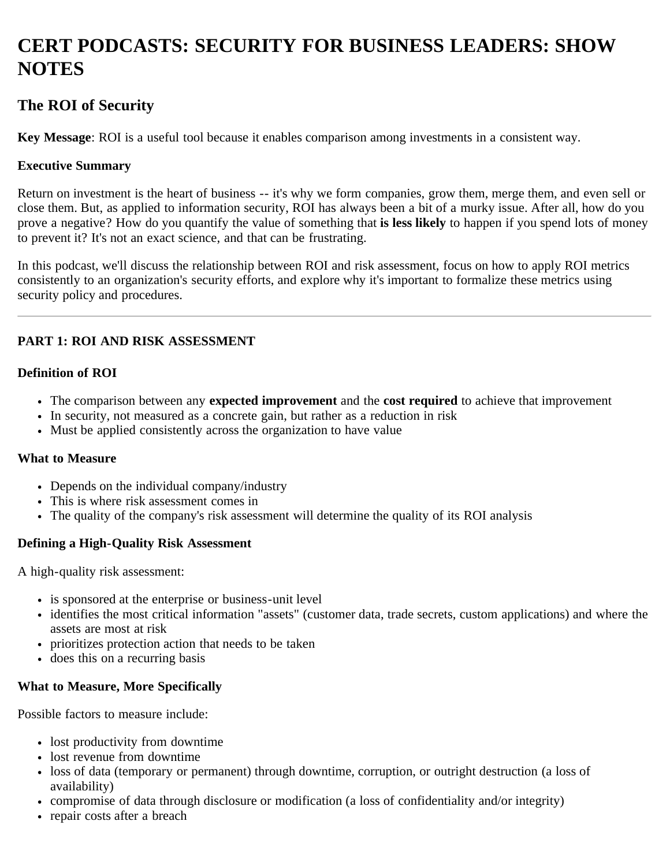# **CERT PODCASTS: SECURITY FOR BUSINESS LEADERS: SHOW NOTES**

# **The ROI of Security**

**Key Message**: ROI is a useful tool because it enables comparison among investments in a consistent way.

### **Executive Summary**

Return on investment is the heart of business -- it's why we form companies, grow them, merge them, and even sell or close them. But, as applied to information security, ROI has always been a bit of a murky issue. After all, how do you prove a negative? How do you quantify the value of something that **is less likely** to happen if you spend lots of money to prevent it? It's not an exact science, and that can be frustrating.

In this podcast, we'll discuss the relationship between ROI and risk assessment, focus on how to apply ROI metrics consistently to an organization's security efforts, and explore why it's important to formalize these metrics using security policy and procedures.

## **PART 1: ROI AND RISK ASSESSMENT**

### **Definition of ROI**

- The comparison between any **expected improvement** and the **cost required** to achieve that improvement
- In security, not measured as a concrete gain, but rather as a reduction in risk
- Must be applied consistently across the organization to have value

### **What to Measure**

- Depends on the individual company/industry
- This is where risk assessment comes in
- The quality of the company's risk assessment will determine the quality of its ROI analysis

### **Defining a High-Quality Risk Assessment**

A high-quality risk assessment:

- is sponsored at the enterprise or business-unit level
- identifies the most critical information "assets" (customer data, trade secrets, custom applications) and where the assets are most at risk
- prioritizes protection action that needs to be taken
- does this on a recurring basis

### **What to Measure, More Specifically**

Possible factors to measure include:

- lost productivity from downtime
- lost revenue from downtime
- loss of data (temporary or permanent) through downtime, corruption, or outright destruction (a loss of availability)
- compromise of data through disclosure or modification (a loss of confidentiality and/or integrity)
- repair costs after a breach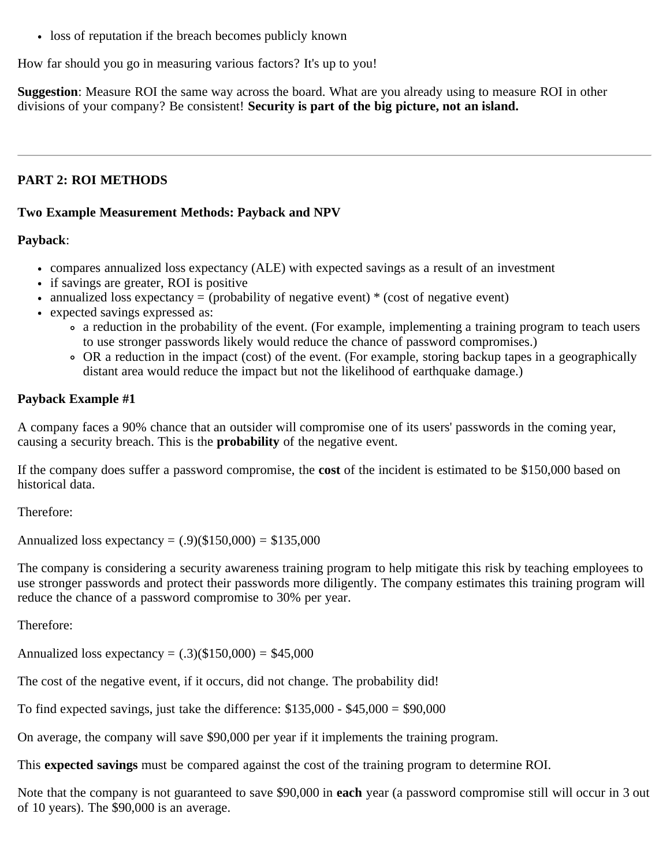loss of reputation if the breach becomes publicly known

How far should you go in measuring various factors? It's up to you!

**Suggestion**: Measure ROI the same way across the board. What are you already using to measure ROI in other divisions of your company? Be consistent! **Security is part of the big picture, not an island.**

## **PART 2: ROI METHODS**

### **Two Example Measurement Methods: Payback and NPV**

### **Payback**:

- compares annualized loss expectancy (ALE) with expected savings as a result of an investment
- if savings are greater, ROI is positive
- annualized loss expectancy  $=$  (probability of negative event)  $*$  (cost of negative event)
- expected savings expressed as:
	- a reduction in the probability of the event. (For example, implementing a training program to teach users to use stronger passwords likely would reduce the chance of password compromises.)
	- OR a reduction in the impact (cost) of the event. (For example, storing backup tapes in a geographically distant area would reduce the impact but not the likelihood of earthquake damage.)

### **Payback Example #1**

A company faces a 90% chance that an outsider will compromise one of its users' passwords in the coming year, causing a security breach. This is the **probability** of the negative event.

If the company does suffer a password compromise, the **cost** of the incident is estimated to be \$150,000 based on historical data.

Therefore:

Annualized loss expectancy =  $(.9)(\$150,000) = \$135,000$ 

The company is considering a security awareness training program to help mitigate this risk by teaching employees to use stronger passwords and protect their passwords more diligently. The company estimates this training program will reduce the chance of a password compromise to 30% per year.

Therefore:

Annualized loss expectancy =  $(.3)($150,000) = $45,000$ 

The cost of the negative event, if it occurs, did not change. The probability did!

To find expected savings, just take the difference:  $$135,000 - $45,000 = $90,000$ 

On average, the company will save \$90,000 per year if it implements the training program.

This **expected savings** must be compared against the cost of the training program to determine ROI.

Note that the company is not guaranteed to save \$90,000 in **each** year (a password compromise still will occur in 3 out of 10 years). The \$90,000 is an average.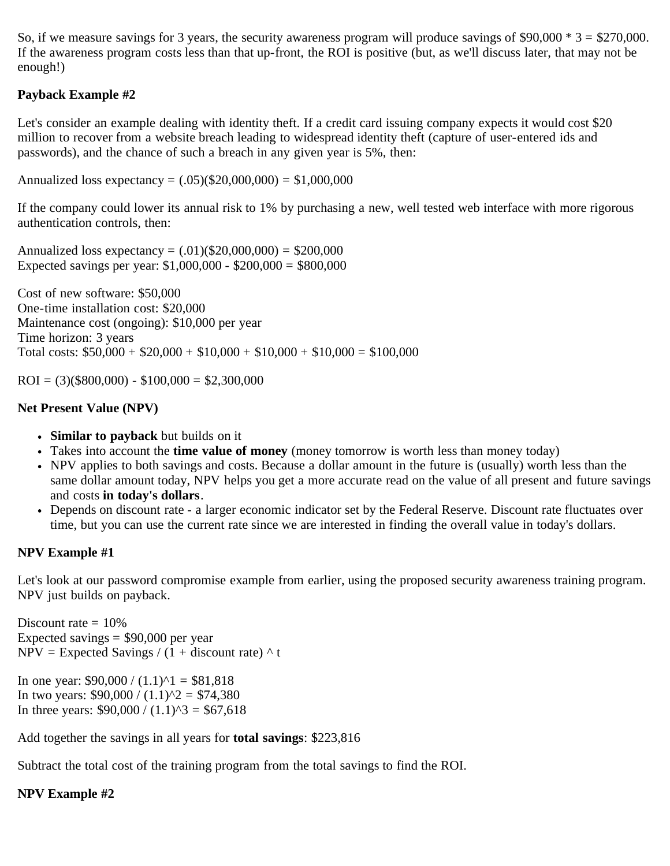So, if we measure savings for 3 years, the security awareness program will produce savings of  $$90,000 * 3 = $270,000$ . If the awareness program costs less than that up-front, the ROI is positive (but, as we'll discuss later, that may not be enough!)

# **Payback Example #2**

Let's consider an example dealing with identity theft. If a credit card issuing company expects it would cost \$20 million to recover from a website breach leading to widespread identity theft (capture of user-entered ids and passwords), and the chance of such a breach in any given year is 5%, then:

Annualized loss expectancy =  $(.05)(\$20,000,000) = \$1,000,000$ 

If the company could lower its annual risk to 1% by purchasing a new, well tested web interface with more rigorous authentication controls, then:

Annualized loss expectancy =  $(.01)(\$20,000,000) = \$200,000$ Expected savings per year: \$1,000,000 - \$200,000 = \$800,000

Cost of new software: \$50,000 One-time installation cost: \$20,000 Maintenance cost (ongoing): \$10,000 per year Time horizon: 3 years Total costs:  $$50,000 + $20,000 + $10,000 + $10,000 + $10,000 = $100,000$ 

 $ROI = (3)($800,000) - $100,000 = $2,300,000$ 

# **Net Present Value (NPV)**

- **Similar to payback** but builds on it
- Takes into account the **time value of money** (money tomorrow is worth less than money today)
- NPV applies to both savings and costs. Because a dollar amount in the future is (usually) worth less than the same dollar amount today, NPV helps you get a more accurate read on the value of all present and future savings and costs **in today's dollars**.
- Depends on discount rate a larger economic indicator set by the Federal Reserve. Discount rate fluctuates over time, but you can use the current rate since we are interested in finding the overall value in today's dollars.

# **NPV Example #1**

Let's look at our password compromise example from earlier, using the proposed security awareness training program. NPV just builds on payback.

Discount rate  $= 10\%$ Expected savings  $=$  \$90,000 per year  $NPV = Expected Savings / (1 + discount rate)$  ^ t

In one year:  $$90,000 / (1.1)^{1} = $81,818$ In two years:  $$90,000 / (1.1)^2 = $74,380$ In three years:  $$90,000 / (1.1)^{3} = $67,618$ 

Add together the savings in all years for **total savings**: \$223,816

Subtract the total cost of the training program from the total savings to find the ROI.

# **NPV Example #2**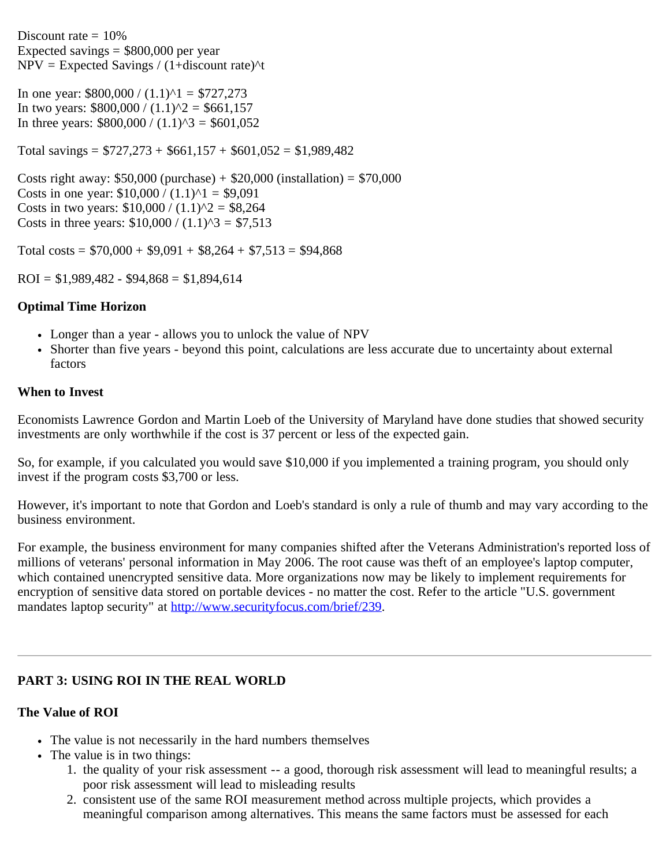Discount rate  $= 10\%$ Expected savings  $=$  \$800,000 per year  $NPV = Expected\ Savings / (1+discount\ rate)^{1/2}$ 

In one year:  $$800,000 / (1.1)^{1} = $727,273$ In two years:  $$800,000 / (1.1)^2 = $661,157$ In three years:  $$800,000 / (1.1)^{3} = $601,052$ 

Total savings =  $$727,273 + $661,157 + $601,052 = $1,989,482$ 

Costs right away:  $$50,000$  (purchase) +  $$20,000$  (installation) =  $$70,000$ Costs in one year:  $$10,000 / (1.1)^{1} = $9,091$ Costs in two years:  $$10,000 / (1.1)^2 = $8,264$ Costs in three years:  $$10,000 / (1.1)^{3} = $7,513$ 

Total costs =  $$70,000 + $9,091 + $8,264 + $7,513 = $94,868$ 

 $ROI = $1,989,482 - $94,868 = $1,894,614$ 

### **Optimal Time Horizon**

- Longer than a year allows you to unlock the value of NPV
- Shorter than five years beyond this point, calculations are less accurate due to uncertainty about external factors

#### **When to Invest**

Economists Lawrence Gordon and Martin Loeb of the University of Maryland have done studies that showed security investments are only worthwhile if the cost is 37 percent or less of the expected gain.

So, for example, if you calculated you would save \$10,000 if you implemented a training program, you should only invest if the program costs \$3,700 or less.

However, it's important to note that Gordon and Loeb's standard is only a rule of thumb and may vary according to the business environment.

For example, the business environment for many companies shifted after the Veterans Administration's reported loss of millions of veterans' personal information in May 2006. The root cause was theft of an employee's laptop computer, which contained unencrypted sensitive data. More organizations now may be likely to implement requirements for encryption of sensitive data stored on portable devices - no matter the cost. Refer to the article "U.S. government mandates laptop security" at<http://www.securityfocus.com/brief/239>.

### **PART 3: USING ROI IN THE REAL WORLD**

### **The Value of ROI**

- The value is not necessarily in the hard numbers themselves
- The value is in two things:
	- 1. the quality of your risk assessment -- a good, thorough risk assessment will lead to meaningful results; a poor risk assessment will lead to misleading results
	- 2. consistent use of the same ROI measurement method across multiple projects, which provides a meaningful comparison among alternatives. This means the same factors must be assessed for each